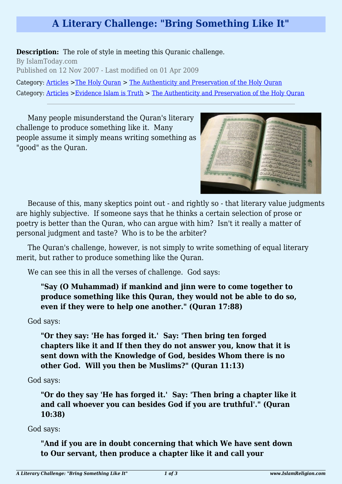## **A Literary Challenge: "Bring Something Like It"**

## **Description:** The role of style in meeting this Quranic challenge.

By IslamToday.com Published on 12 Nov 2007 - Last modified on 01 Apr 2009

Category: [Articles](http://www.islamreligion.com/articles/) >[The Holy Quran](http://www.islamreligion.com/category/75/) > [The Authenticity and Preservation of the Holy Quran](http://www.islamreligion.com/category/123/) Category: [Articles](http://www.islamreligion.com/articles/) >[Evidence Islam is Truth](http://www.islamreligion.com/category/33/) > [The Authenticity and Preservation of the Holy Quran](http://www.islamreligion.com/category/37/)

Many people misunderstand the Quran's literary challenge to produce something like it. Many people assume it simply means writing something as "good" as the Quran.



Because of this, many skeptics point out - and rightly so - that literary value judgments are highly subjective. If someone says that he thinks a certain selection of prose or poetry is better than the Quran, who can argue with him? Isn't it really a matter of personal judgment and taste? Who is to be the arbiter?

The Quran's challenge, however, is not simply to write something of equal literary merit, but rather to produce something like the Quran.

We can see this in all the verses of challenge. God says:

## **"Say (O Muhammad) if mankind and jinn were to come together to produce something like this Quran, they would not be able to do so, even if they were to help one another." (Quran 17:88)**

God says:

**"Or they say: 'He has forged it.' Say: 'Then bring ten forged chapters like it and If then they do not answer you, know that it is sent down with the Knowledge of God, besides Whom there is no other God. Will you then be Muslims?" (Quran 11:13)**

God says:

**"Or do they say 'He has forged it.' Say: 'Then bring a chapter like it and call whoever you can besides God if you are truthful'." (Quran 10:38)**

God says:

**"And if you are in doubt concerning that which We have sent down to Our servant, then produce a chapter like it and call your**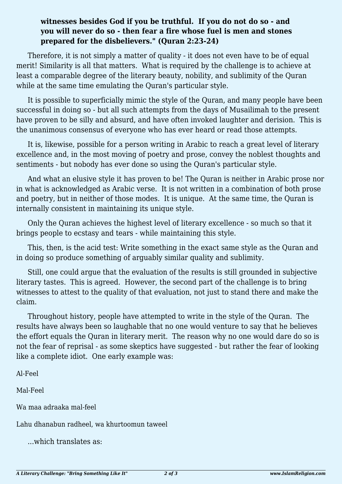## **witnesses besides God if you be truthful. If you do not do so - and you will never do so - then fear a fire whose fuel is men and stones prepared for the disbelievers." (Quran 2:23-24)**

Therefore, it is not simply a matter of quality - it does not even have to be of equal merit! Similarity is all that matters. What is required by the challenge is to achieve at least a comparable degree of the literary beauty, nobility, and sublimity of the Quran while at the same time emulating the Quran's particular style.

It is possible to superficially mimic the style of the Quran, and many people have been successful in doing so - but all such attempts from the days of Musailimah to the present have proven to be silly and absurd, and have often invoked laughter and derision. This is the unanimous consensus of everyone who has ever heard or read those attempts.

It is, likewise, possible for a person writing in Arabic to reach a great level of literary excellence and, in the most moving of poetry and prose, convey the noblest thoughts and sentiments - but nobody has ever done so using the Quran's particular style.

And what an elusive style it has proven to be! The Quran is neither in Arabic prose nor in what is acknowledged as Arabic verse. It is not written in a combination of both prose and poetry, but in neither of those modes. It is unique. At the same time, the Quran is internally consistent in maintaining its unique style.

Only the Quran achieves the highest level of literary excellence - so much so that it brings people to ecstasy and tears - while maintaining this style.

This, then, is the acid test: Write something in the exact same style as the Quran and in doing so produce something of arguably similar quality and sublimity.

Still, one could argue that the evaluation of the results is still grounded in subjective literary tastes. This is agreed. However, the second part of the challenge is to bring witnesses to attest to the quality of that evaluation, not just to stand there and make the claim.

Throughout history, people have attempted to write in the style of the Quran. The results have always been so laughable that no one would venture to say that he believes the effort equals the Quran in literary merit. The reason why no one would dare do so is not the fear of reprisal - as some skeptics have suggested - but rather the fear of looking like a complete idiot. One early example was:

Al-Feel

Mal-Feel

Wa maa adraaka mal-feel

Lahu dhanabun radheel, wa khurtoomun taweel

...which translates as: